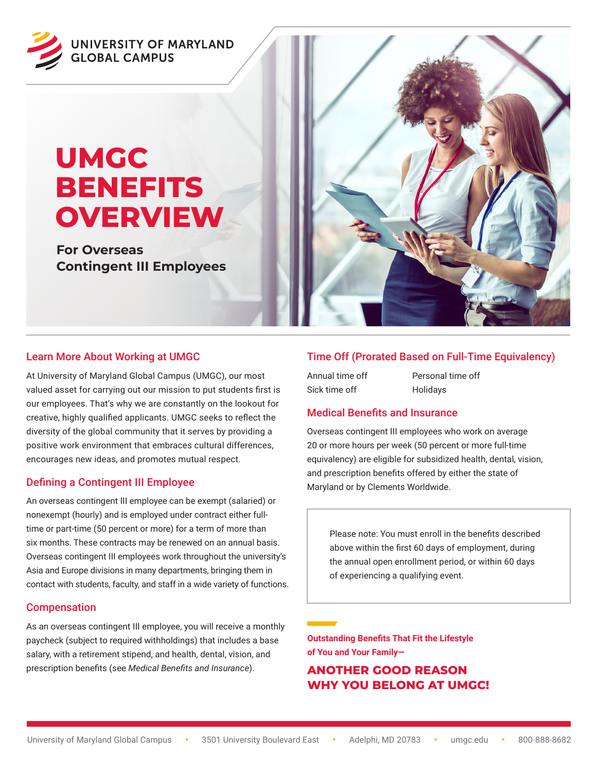

# **UMGC BENEFITS OVERVIEW**

**For Overseas Contingent III Employees**



At University of Maryland Global Campus (UMGC), our most valued asset for carrying out our mission to put students first is our employees. That's why we are constantly on the lookout for creative, highly qualified applicants. UMGC seeks to reflect the diversity of the global community that it serves by providing a positive work environment that embraces cultural differences, encourages new ideas, and promotes mutual respect.

# Defining a Contingent III Employee

An overseas contingent III employee can be exempt (salaried) or nonexempt (hourly) and is employed under contract either fulltime or part-time (50 percent or more) for a term of more than six months. These contracts may be renewed on an annual basis. Overseas contingent III employees work throughout the university's Asia and Europe divisions in many departments, bringing them in contact with students, faculty, and staff in a wide variety of functions.

# Compensation

As an overseas contingent III employee, you will receive a monthly paycheck (subject to required withholdings) that includes a base salary, with a retirement stipend, and health, dental, vision, and prescription benefits (see *Medical Benefits and Insurance*).



# Time Off (Prorated Based on Full-Time Equivalency)

| Annual time off | Personal time off |
|-----------------|-------------------|
| Sick time off   | Holidays          |

# Medical Benefits and Insurance

Overseas contingent III employees who work on average 20 or more hours per week (50 percent or more full-time equivalency) are eligible for subsidized health, dental, vision, and prescription benefits offered by either the state of Maryland or by Clements Worldwide.

Please note: You must enroll in the benefits described above within the first 60 days of employment, during the annual open enrollment period, or within 60 days of experiencing a qualifying event.

**Outstanding Benefits That Fit the Lifestyle of You and Your Family—**

# **ANOTHER GOOD REASON WHY YOU BELONG AT UMGC!**